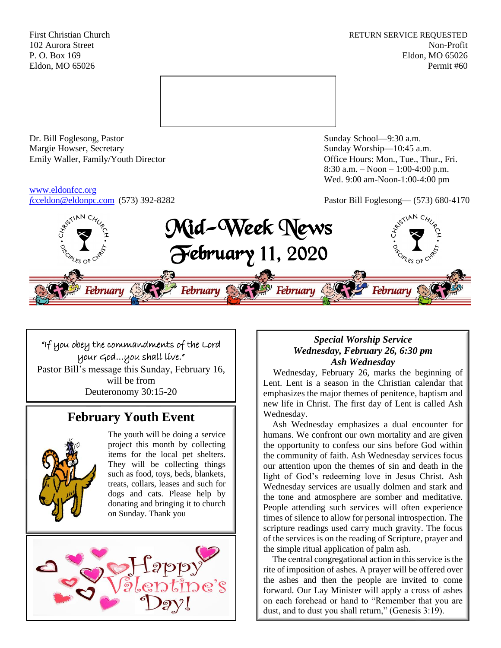First Christian Church **RETURN SERVICE REQUESTED** 102 Aurora Street Non-Profit P. O. Box 169 Eldon, MO 65026 Eldon, MO 65026 Permit #60



Dr. Bill Foglesong, Pastor Sunday School—9:30 a.m.<br>
Margie Howser, Secretary Sunday Worship—10:45 a. Emily Waller, Family/Youth Director **Containers** Office Hours: Mon., Tue., Thur., Fri.

# [www.eldonfcc.org](http://www.eldonfcc.org/)

Sunday Worship—10:45 a.m. 8:30 a.m. – Noon – 1:00-4:00 p.m. Wed. 9:00 am-Noon-1:00-4:00 pm

*f*[cceldon@eldonpc.com](mailto:fcceldon@eldonpc.com) (573) 392-8282 Pastor Bill Foglesong— (573) 680-4170



## "If you obey the commandments of the Lord your God…you shall live." Pastor Bill's message this Sunday, February 16, will be from Deuteronomy 30:15-20

## **February Youth Event**



The youth will be doing a service project this month by collecting items for the local pet shelters. They will be collecting things such as food, toys, beds, blankets, treats, collars, leases and such for dogs and cats. Please help by donating and bringing it to church on Sunday. Thank you



## *Special Worship Service Wednesday, February 26, 6:30 pm Ash Wednesday*

 Wednesday, February 26, marks the beginning of Lent. Lent is a season in the Christian calendar that emphasizes the major themes of penitence, baptism and new life in Christ. The first day of Lent is called Ash Wednesday.

 Ash Wednesday emphasizes a dual encounter for humans. We confront our own mortality and are given the opportunity to confess our sins before God within the community of faith. Ash Wednesday services focus our attention upon the themes of sin and death in the light of God's redeeming love in Jesus Christ. Ash Wednesday services are usually dolmen and stark and the tone and atmosphere are somber and meditative. People attending such services will often experience times of silence to allow for personal introspection. The scripture readings used carry much gravity. The focus of the services is on the reading of Scripture, prayer and the simple ritual application of palm ash.

 The central congregational action in this service is the rite of imposition of ashes. A prayer will be offered over the ashes and then the people are invited to come forward. Our Lay Minister will apply a cross of ashes on each forehead or hand to "Remember that you are dust, and to dust you shall return," (Genesis 3:19).